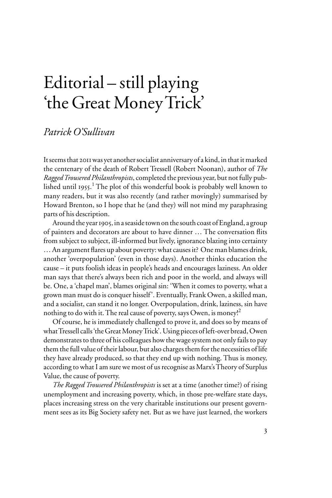## Editorial – still playing 'the Great Money Trick'

## *Patrick O'Sullivan*

It seems that 2011 was yet another socialist anniversary of a kind, in that it marked the centenary of the death of Robert Tressell (Robert Noonan), author of *The Ragged Trousered Philanthropists*, completed the previous year, but not fully published until 1955. <sup>1</sup> The plot of this wonderful book is probably well known to many readers, but it was also recently (and rather movingly) summarised by Howard Brenton, so I hope that he (and they) will not mind my paraphrasing parts of his description.

Around the year 1905, in a seaside town on the south coast of England, a group of painters and decorators are about to have dinner ... The conversation flits from subject to subject, ill-informed but lively, ignorance blazing into certainty  $\dots$  An argument flares up about poverty: what causes it? One man blames drink, another 'overpopulation' (even in those days). Another thinks education the cause – it puts foolish ideas in people's heads and encourages laziness. An older man says that there's always been rich and poor in the world, and always will be. One, a 'chapel man', blames original sin: 'When it comes to poverty, what a grown man must do is conquer hisself'. Eventually, Frank Owen, a skilled man, and a socialist, can stand it no longer. Overpopulation, drink, laziness, sin have nothing to do with it. The real cause of poverty, says Owen, is money!<sup>2</sup>

Of course, he is immediately challenged to prove it, and does so by means of what Tressell calls 'the Great Money Trick'. Using pieces of left-over bread, Owen demonstrates to three of his colleagues how the wage system not only fails to pay them the full value of their labour, but also charges them for the necessities of life they have already produced, so that they end up with nothing. Thus is money, according to what I am sure we most of us recognise as Marx's Theory of Surplus Value, the cause of poverty.

*The Ragged Trousered Philanthropists* is set at a time (another time?) of rising unemployment and increasing poverty, which, in those pre-welfare state days, places increasing stress on the very charitable institutions our present government sees as its Big Society safety net. But as we have just learned, the workers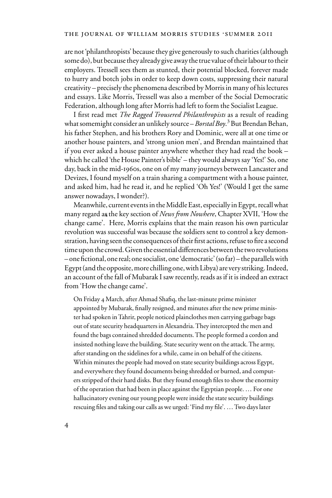are not 'philanthropists' because they give generously to such charities (although some do), but because they already give away the true value of their labour to their employers. Tressell sees them as stunted, their potential blocked, forever made to hurry and botch jobs in order to keep down costs, suppressing their natural creativity – precisely the phenomena described by Morris in many of his lectures and essays. Like Morris, Tressell was also a member of the Social Democratic Federation, although long after Morris had left to form the Socialist League.

I first read met *The Ragged Trousered Philanthropists* as a result of reading what somemight consider an unlikely source – *Borstal Boy*. 3 But Brendan Behan, his father Stephen, and his brothers Rory and Dominic, were all at one time or another house painters, and 'strong union men', and Brendan maintained that if you ever asked a house painter anywhere whether they had read the book – which he called 'the House Painter's bible' – they would always say 'Yes!' So, one day, back in the mid-1960s, one on of my many journeys between Lancaster and Devizes, I found myself on a train sharing a compartment with a house painter, and asked him, had he read it, and he replied 'Oh Yes!' (Would I get the same answer nowadays, I wonder?).

Meanwhile, current events in the Middle East, especially in Egypt, recall what many regard as the key section of *News from Nowhere*, Chapter XVII, 'How the 4 change came'. Here, Morris explains that the main reason his own particular revolution was successful was because the soldiers sent to control a key demonstration, having seen the consequences of their first actions, refuse to fire a second time upon the crowd. Given the essential differences between the two revolutions  $-$  one fictional, one real; one socialist, one 'democratic' (so far) – the parallels with Egypt (and the opposite, more chilling one, with Libya) are very striking. Indeed, an account of the fall of Mubarak I saw recently, reads as if it is indeed an extract from 'How the change came'.

On Friday 4 March, after Ahmad Shafiq, the last-minute prime minister appointed by Mubarak, finally resigned, and minutes after the new prime minister had spoken in Tahrir, people noticed plainclothes men carrying garbage bags out of state security headquarters in Alexandria. They intercepted the men and found the bags contained shredded documents. The people formed a cordon and insisted nothing leave the building. State security went on the attack. The army, after standing on the sidelines for a while, came in on behalf of the citizens. Within minutes the people had moved on state security buildings across Egypt, and everywhere they found documents being shredded or burned, and computers stripped of their hard disks. But they found enough files to show the enormity of the operation that had been in place against the Egyptian people. … For one hallucinatory evening our young people were inside the state security buildings rescuing files and taking our calls as we urged: 'Find my file'. ... Two days later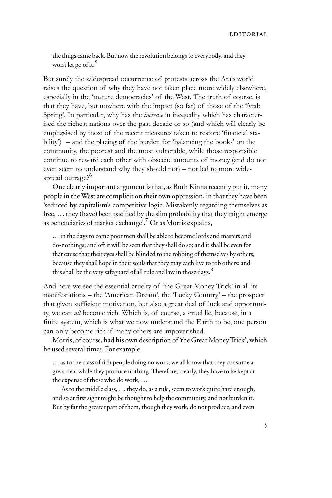the thugs came back. But now the revolution belongs to everybody, and they won't let go of it.<sup>5</sup>

But surely the widespread occurrence of protests across the Arab world raises the question of why they have not taken place more widely elsewhere, especially in the 'mature democracies' of the West. The truth of course, is that they have, but nowhere with the impact (so far) of those of the 'Arab Spring'. In particular, why has the *increase* in inequality which has characterised the richest nations over the past decade or so (and which will clearly be emphasised by most of the recent measures taken to restore 'financial sta-7 bility') – and the placing of the burden for 'balancing the books' on the community, the poorest and the most vulnerable, while those responsible continue to reward each other with obscene amounts of money (and do not even seem to understand why they should not) – not led to more widespread outrage?<sup>6</sup>

One clearly important argument is that, as Ruth Kinna recently put it, many people in the West are complicit on their own oppression, in that they have been 'seduced by capitalism's competitive logic. Mistakenly regarding themselves as free, ... they (have) been pacified by the slim probability that they might emerge as beneficiaries of market exchange'.<sup>7</sup> Or as Morris explains,

… in the days to come poor men shall be able to become lords and masters and do-nothings; and oft it will be seen that they shall do so; and it shall be even for that cause that their eyes shall be blinded to the robbing of themselves by others, because they shall hope in their souls that they may each live to rob others: and this shall be the very safeguard of all rule and law in those days. $8$ 

And here we see the essential cruelty of 'the Great Money Trick' in all its manifestations – the 'American Dream', the 'Lucky Country' – the prospect that given sufficient motivation, but also a great deal of luck and opportunity, we can *all* become rich. Which is, of course, a cruel lie, because, in a finite system, which is what we now understand the Earth to be, one person can only become rich if many others are impoverished.

Morris, of course, had his own description of 'the Great Money Trick', which he used several times. For example

… as to the class of rich people doing no work, we all know that they consume a great deal while they produce nothing. Therefore, clearly, they have to be kept at the expense of those who do work, …

As to the middle class, … they do, as a rule, seem to work quite hard enough, and so at first sight might be thought to help the community, and not burden it. But by far the greater part of them, though they work, do not produce, and even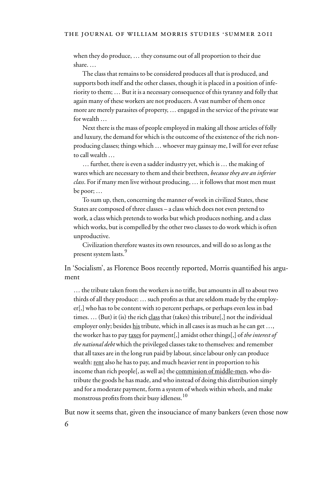when they do produce, … they consume out of all proportion to their due share. …

The class that remains to be considered produces all that is produced, and supports both itself and the other classes, though it is placed in a position of inferiority to them; … But it is a necessary consequence of this tyranny and folly that again many of these workers are not producers. A vast number of them once more are merely parasites of property, … engaged in the service of the private war for wealth …

Next there is the mass of people employed in making all those articles of folly and luxury, the demand for which is the outcome of the existence of the rich nonproducing classes; things which … whoever may gainsay me, I will for ever refuse to call wealth …

… further, there is even a sadder industry yet, which is … the making of wares which are necessary to them and their brethren, *because they are an inferior class*. For if many men live without producing, … it follows that most men must be poor; …

To sum up, then, concerning the manner of work in civilized States, these States are composed of three classes – a class which does not even pretend to work, a class which pretends to works but which produces nothing, and a class which works, but is compelled by the other two classes to do work which is often unproductive.

Civilization therefore wastes its own resources, and will do so as long as the present system lasts.<sup>9</sup>

In 'Socialism', as Florence Boos recently reported, Morris quantified his argument

... the tribute taken from the workers is no trifle, but amounts in all to about two thirds of all they produce:  $\dots$  such profits as that are seldom made by the employer[,] who has to be content with 10 percent perhaps, or perhaps even less in bad times. … (But) it (is) the rich class that (takes) this tribute[,] not the individual employer only; besides his tribute, which in all cases is as much as he can get …, the worker has to pay taxes for payment[,] amidst other things[,] of *the interest of the national debt* which the privileged classes take to themselves: and remember that all taxes are in the long run paid by labour, since labour only can produce wealth: rent also he has to pay, and much heavier rent in proportion to his income than rich people[, as well as] the commission of middle-men, who distribute the goods he has made, and who instead of doing this distribution simply and for a moderate payment, form a system of wheels within wheels, and make monstrous profits from their busy idleness.<sup>10</sup>

But now it seems that, given the insouciance of many bankers (even those now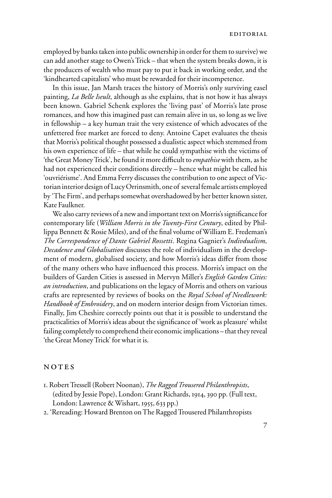employed by banks taken into public ownership in order for them to survive) we can add another stage to Owen's Trick – that when the system breaks down, it is the producers of wealth who must pay to put it back in working order, and the 'kindhearted capitalists' who must be rewarded for their incompetence.

In this issue, Jan Marsh traces the history of Morris's only surviving easel painting, *La Belle Iseult*, although as she explains, that is not how it has always been known. Gabriel Schenk explores the 'living past' of Morris's late prose romances, and how this imagined past can remain alive in us, so long as we live in fellowship – a key human trait the very existence of which advocates of the unfettered free market are forced to deny. Antoine Capet evaluates the thesis that Morris's political thought possessed a dualistic aspect which stemmed from his own experience of life – that while he could sympathise with the victims of 'the Great Money Trick', he found it more difficult to *empathise* with them, as he had not experienced their conditions directly – hence what might be called his 'ouvriérisme'. And Emma Ferry discusses the contribution to one aspect of Victorian interior design of Lucy Orrinsmith, one of several female artists employed by 'The Firm', and perhaps somewhat overshadowed by her better known sister, Kate Faulkner.

We also carry reviews of a new and important text on Morris's significance for contemporary life (*William Morris in the Twenty-First Century*, edited by Phillippa Bennett & Rosie Miles), and of the final volume of William E. Fredeman's *The Correspondence of Dante Gabriel Rossetti*. Regina Gagnier's *Indivdualism, Decadence and Globalisation* discusses the role of individualism in the development of modern, globalised society, and how Morris's ideas differ from those of the many others who have influenced this process. Morris's impact on the builders of Garden Cities is assessed in Mervyn Miller's *English Garden Cities: an introduction*, and publications on the legacy of Morris and others on various crafts are represented by reviews of books on the *Royal School of Needlework: Handbook of Embroidery*, and on modern interior design from Victorian times. Finally, Jim Cheshire correctly points out that it is possible to understand the practicalities of Morris's ideas about the significance of 'work as pleasure' whilst failing completely to comprehend their economic implications – that they reveal 'the Great Money Trick' for what it is.

## NOTES

- 1. Robert Tressell (Robert Noonan), *The Ragged Trousered Philanthropists*, (edited by Jessie Pope), London: Grant Richards, 1914, 390 pp. (Full text, London: Lawrence & Wishart, 1955, 633 pp.)
- 2. 'Rereading: Howard Brenton on The Ragged Trousered Philanthropists